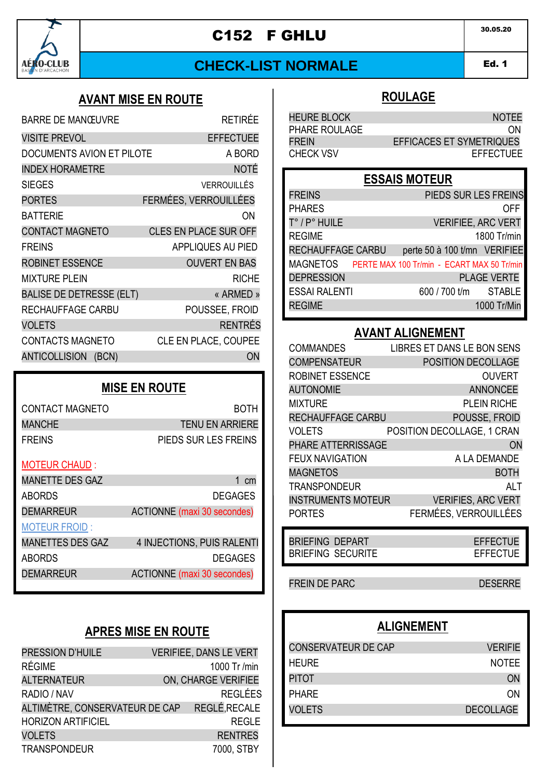

# C152 F GHLU 30.05.20

# **CHECK-LIST NORMALE**

Ed. 1 AMD 1

# **AVANT MISE EN ROUTE**

| RFTIRÉF                                      |
|----------------------------------------------|
| <b>EFFECTUEE</b>                             |
| DOCUMENTS AVION ET PILOTE<br>A BORD          |
| <b>NOTÉ</b>                                  |
| VERROUILLÉS                                  |
| FERMÉES, VERROUILLÉES                        |
| ΩN                                           |
| <b>CLES EN PLACE SUR OFF</b>                 |
| APPLIQUES AU PIED                            |
| <b>OUVERT EN BAS</b>                         |
| RICHF                                        |
| <b>BALISE DE DETRESSE (ELT)</b><br>« ARMED » |
| POUSSEE, FROID                               |
| <b>RENTRÉS</b>                               |
| CLE EN PLACE, COUPEE                         |
| ON                                           |
|                                              |

### **MISE EN ROUTE**

| CONTACT MAGNETO | <b>ROTH</b>            |
|-----------------|------------------------|
| MANCHE          | <b>TENU EN ARRIERE</b> |
| <b>FREINS</b>   | PIEDS SUR LES FREINS   |

#### MOTEUR CHAUD :

| <b>MANETTE DES GAZ</b>  | $1 \text{ cm}$                     |
|-------------------------|------------------------------------|
| <b>ABORDS</b>           | <b>DEGAGES</b>                     |
| <b>DEMARREUR</b>        | <b>ACTIONNE</b> (maxi 30 secondes) |
| <b>MOTEUR FROID:</b>    |                                    |
| <b>MANETTES DES GAZ</b> | 4 INJECTIONS, PUIS RALENTI         |
| <b>ABORDS</b>           | <b>DEGAGES</b>                     |
| <b>DEMARREUR</b>        | <b>ACTIONNE</b> (maxi 30 secondes) |
|                         |                                    |
|                         |                                    |

# **APRES MISE EN ROUTE**

| PRESSION D'HUILE               | VERIFIEE, DANS LE VERT |
|--------------------------------|------------------------|
| <b>RÉGIME</b>                  | 1000 Tr /min           |
| <b>ALTERNATEUR</b>             | ON, CHARGE VERIFIEE    |
| RADIO / NAV                    | <b>REGLÉES</b>         |
| ALTIMÈTRE, CONSERVATEUR DE CAP | REGLÉ, RECALE          |
| <b>HORIZON ARTIFICIEL</b>      | <b>REGLE</b>           |
| <b>VOLETS</b>                  | <b>RENTRES</b>         |
| <b>TRANSPONDEUR</b>            | 7000. STBY             |

### **ROULAGE**

| <b>HEURE BLOCK</b> | <b>NOTEE</b>                    |
|--------------------|---------------------------------|
| PHARE ROULAGE      | ON                              |
| <b>FREIN</b>       | <b>EFFICACES ET SYMETRIQUES</b> |
| <b>CHECK VSV</b>   | <b>EFFECTUEE</b>                |

### **ESSAIS MOTEUR**

| <b>FREINS</b>        |                                            |  | PIEDS SUR LES FREINS         |
|----------------------|--------------------------------------------|--|------------------------------|
| <b>PHARES</b>        |                                            |  | OFF                          |
| T° / P° HUILE        |                                            |  | <b>VERIFIEE, ARC VERT</b>    |
| <b>REGIME</b>        |                                            |  | 1800 Tr/min                  |
| RECHAUFFAGE CARBU    |                                            |  | perte 50 à 100 t/mn VERIFIEE |
| MAGNETOS             | PERTE MAX 100 Tr/min - ECART MAX 50 Tr/min |  |                              |
| <b>DEPRESSION</b>    |                                            |  | <b>PLAGE VERTE</b>           |
| <b>ESSAI RALENTI</b> |                                            |  | 600 / 700 t/m STABLE         |
| <b>REGIME</b>        |                                            |  | 1000 Tr/Min                  |
|                      |                                            |  |                              |

### **AVANT ALIGNEMENT**

| <b>COMMANDES</b>          | <b>LIBRES ET DANS LE BON SENS</b> |
|---------------------------|-----------------------------------|
| <b>COMPENSATEUR</b>       | POSITION DECOLLAGE                |
| ROBINET ESSENCE           | <b>OUVERT</b>                     |
| <b>AUTONOMIE</b>          | <b>ANNONCEE</b>                   |
| <b>MIXTURE</b>            | PLEIN RICHE                       |
| RECHAUFFAGE CARBU         | POUSSE. FROID                     |
| VOLETS                    | POSITION DECOLLAGE. 1 CRAN        |
| <b>PHARE ATTERRISSAGE</b> | ON                                |
| <b>FEUX NAVIGATION</b>    | A LA DEMANDE                      |
| <b>MAGNETOS</b>           | <b>BOTH</b>                       |
| <b>TRANSPONDEUR</b>       | AI T                              |
| <b>INSTRUMENTS MOTEUR</b> | <b>VERIFIES, ARC VERT</b>         |
| <b>PORTES</b>             | FERMÉES. VERROUILLÉES             |

| <b>BRIEFING DEPART</b> |                   | EFFECTUE |
|------------------------|-------------------|----------|
|                        | BRIEFING SECURITE | EFFECTUE |

FREIN DE PARC DESERRE

# **ALIGNEMENT**

| <b>CONSERVATEUR DE CAP</b> | <b>VERIFIE</b>   |
|----------------------------|------------------|
| <b>HEURE</b>               | <b>NOTEE</b>     |
| <b>PITOT</b>               | <b>ON</b>        |
| <b>PHARF</b>               | ΩN               |
| <b>VOLETS</b>              | <b>DECOLLAGE</b> |